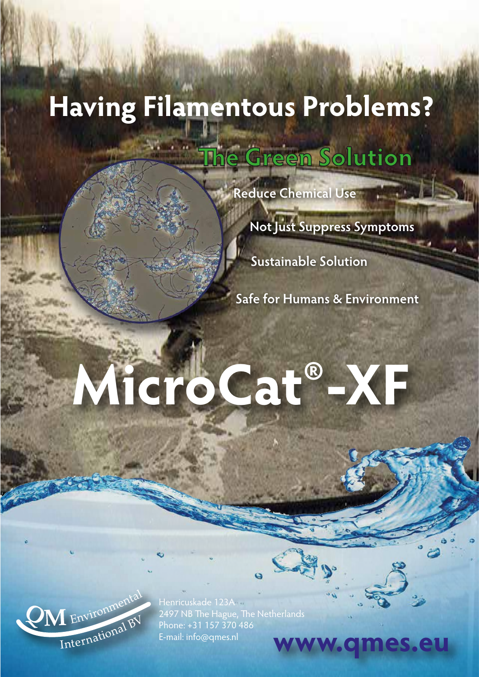## **Having Filamentous Problems?**

**The Green Solution** 

**Reduce Chemical Use**

**Not Just Suppress Symptoms** 

**Sustainable Solution**

**Safe for Humans & Environment**

# **MicroCat®-XF**



Henricuskade 123A 2497 NB The Hague, The Netherlands Phone: +31 157 370 486 E-mail: info@qmes.nl **WWW.QM**